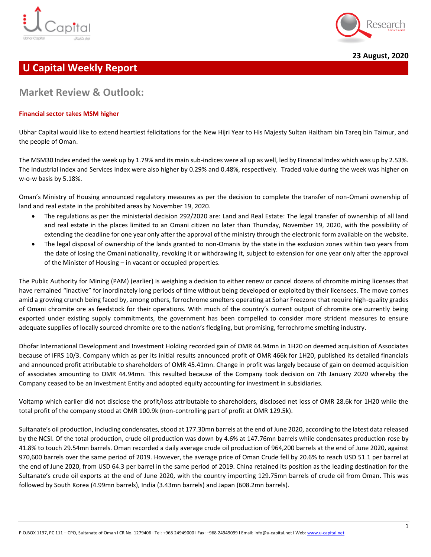



**23 August, 2020**

# **U Capital Weekly Report**

# **Market Review & Outlook:**

## **Financial sector takes MSM higher**

Ubhar Capital would like to extend heartiest felicitations for the New Hijri Year to His Majesty Sultan Haitham bin Tareq bin Taimur, and the people of Oman.

The MSM30 Index ended the week up by 1.79% and its main sub-indices were all up as well, led by Financial Index which was up by 2.53%. The Industrial index and Services Index were also higher by 0.29% and 0.48%, respectively. Traded value during the week was higher on w-o-w basis by 5.18%.

Oman's Ministry of Housing announced regulatory measures as per the decision to complete the transfer of non-Omani ownership of land and real estate in the prohibited areas by November 19, 2020.

- The regulations as per the ministerial decision 292/2020 are: Land and Real Estate: The legal transfer of ownership of all land and real estate in the places limited to an Omani citizen no later than Thursday, November 19, 2020, with the possibility of extending the deadline for one year only after the approval of the ministry through the electronic form available on the website.
- The legal disposal of ownership of the lands granted to non-Omanis by the state in the exclusion zones within two years from the date of losing the Omani nationality, revoking it or withdrawing it, subject to extension for one year only after the approval of the Minister of Housing – in vacant or occupied properties.

The Public Authority for Mining (PAM) (earlier) is weighing a decision to either renew or cancel dozens of chromite mining licenses that have remained "inactive" for inordinately long periods of time without being developed or exploited by their licensees. The move comes amid a growing crunch being faced by, among others, ferrochrome smelters operating at Sohar Freezone that require high-quality grades of Omani chromite ore as feedstock for their operations. With much of the country's current output of chromite ore currently being exported under existing supply commitments, the government has been compelled to consider more strident measures to ensure adequate supplies of locally sourced chromite ore to the nation's fledgling, but promising, ferrochrome smelting industry.

Dhofar International Development and Investment Holding recorded gain of OMR 44.94mn in 1H20 on deemed acquisition of Associates because of IFRS 10/3. Company which as per its initial results announced profit of OMR 466k for 1H20, published its detailed financials and announced profit attributable to shareholders of OMR 45.41mn. Change in profit was largely because of gain on deemed acquisition of associates amounting to OMR 44.94mn. This resulted because of the Company took decision on 7th January 2020 whereby the Company ceased to be an Investment Entity and adopted equity accounting for investment in subsidiaries.

Voltamp which earlier did not disclose the profit/loss attributable to shareholders, disclosed net loss of OMR 28.6k for 1H20 while the total profit of the company stood at OMR 100.9k (non-controlling part of profit at OMR 129.5k).

Sultanate's oil production, including condensates, stood at 177.30mn barrels at the end of June 2020, according to the latest data released by the NCSI. Of the total production, crude oil production was down by 4.6% at 147.76mn barrels while condensates production rose by 41.8% to touch 29.54mn barrels. Oman recorded a daily average crude oil production of 964,200 barrels at the end of June 2020, against 970,600 barrels over the same period of 2019. However, the average price of Oman Crude fell by 20.6% to reach USD 51.1 per barrel at the end of June 2020, from USD 64.3 per barrel in the same period of 2019. China retained its position as the leading destination for the Sultanate's crude oil exports at the end of June 2020, with the country importing 129.75mn barrels of crude oil from Oman. This was followed by South Korea (4.99mn barrels), India (3.43mn barrels) and Japan (608.2mn barrels).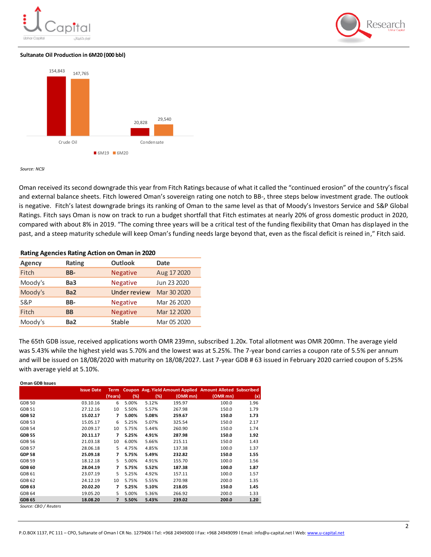#### **Sultanate Oil Production in 6M20 (000 bbl)**



*Source: NCSI*

Oman received its second downgrade this year from Fitch Ratings because of what it called the "continued erosion" of the country's fiscal and external balance sheets. Fitch lowered Oman's sovereign rating one notch to BB-, three steps below investment grade. The outlook is negative. Fitch's latest downgrade brings its ranking of Oman to the same level as that of Moody's Investors Service and S&P Global Ratings. Fitch says Oman is now on track to run a budget shortfall that Fitch estimates at nearly 20% of gross domestic product in 2020, compared with about 8% in 2019. "The coming three years will be a critical test of the funding flexibility that Oman has displayed in the past, and a steep maturity schedule will keep Oman's funding needs large beyond that, even as the fiscal deficit is reined in," Fitch said.

| nating Agencies nating Action on Oman in 2020 |                 |                     |             |  |  |  |
|-----------------------------------------------|-----------------|---------------------|-------------|--|--|--|
| <b>Agency</b>                                 | Rating          | <b>Outlook</b>      | Date        |  |  |  |
| Fitch                                         | BB-             | <b>Negative</b>     | Aug 17 2020 |  |  |  |
| Moody's                                       | Ba3             | <b>Negative</b>     | Jun 23 2020 |  |  |  |
| Moody's                                       | Ba <sub>2</sub> | <b>Under review</b> | Mar 30 2020 |  |  |  |
| S&P                                           | BB-             | <b>Negative</b>     | Mar 26 2020 |  |  |  |
| Fitch                                         | <b>BB</b>       | <b>Negative</b>     | Mar 12 2020 |  |  |  |
| Moody's                                       | Ba <sub>2</sub> | Stable              | Mar 05 2020 |  |  |  |
|                                               |                 |                     |             |  |  |  |

**Rating Agencies Rating Action on Oman in 2020**

The 65th GDB issue, received applications worth OMR 239mn, subscribed 1.20x. Total allotment was OMR 200mn. The average yield was 5.43% while the highest yield was 5.70% and the lowest was at 5.25%. The 7-year bond carries a coupon rate of 5.5% per annum and will be issued on 18/08/2020 with maturity on 18/08/2027. Last 7-year GDB # 63 issued in February 2020 carried coupon of 5.25% with average yield at 5.10%.

| Oman GDB Issues             |                   |             |       |       |          |                                                            |      |
|-----------------------------|-------------------|-------------|-------|-------|----------|------------------------------------------------------------|------|
|                             | <b>Issue Date</b> | <b>Term</b> |       |       |          | Coupon Avg. Yield Amount Applied Amount Alloted Subscribed |      |
|                             |                   | (Years)     | (%)   | (%)   | (OMR mn) | (OMR mn)                                                   | (x)  |
| <b>GDB 50</b>               | 03.10.16          | 6           | 5.00% | 5.12% | 195.97   | 100.0                                                      | 1.96 |
| <b>GDB 51</b>               | 27.12.16          | 10          | 5.50% | 5.57% | 267.98   | 150.0                                                      | 1.79 |
| <b>GDB 52</b>               | 15.02.17          | 7           | 5.00% | 5.08% | 259.67   | 150.0                                                      | 1.73 |
| <b>GDB 53</b>               | 15.05.17          | 6           | 5.25% | 5.07% | 325.54   | 150.0                                                      | 2.17 |
| <b>GDB 54</b>               | 20.09.17          | 10          | 5.75% | 5.44% | 260.90   | 150.0                                                      | 1.74 |
| <b>GDB 55</b>               | 20.11.17          | 7           | 5.25% | 4.91% | 287.98   | 150.0                                                      | 1.92 |
| <b>GDB 56</b>               | 21.03.18          | 10          | 6.00% | 5.66% | 215.11   | 150.0                                                      | 1.43 |
| <b>GDB 57</b>               | 28.06.18          | 5           | 4.75% | 4.85% | 137.38   | 100.0                                                      | 1.37 |
| <b>GDP 58</b>               | 25.09.18          | 7           | 5.75% | 5.49% | 232.82   | 150.0                                                      | 1.55 |
| <b>GDB 59</b>               | 18.12.18          | 5           | 5.00% | 4.91% | 155.70   | 100.0                                                      | 1.56 |
| <b>GDB 60</b>               | 28.04.19          | 7           | 5.75% | 5.52% | 187.38   | 100.0                                                      | 1.87 |
| GDB 61                      | 23.07.19          | 5           | 5.25% | 4.92% | 157.11   | 100.0                                                      | 1.57 |
| <b>GDB 62</b>               | 24.12.19          | 10          | 5.75% | 5.55% | 270.98   | 200.0                                                      | 1.35 |
| <b>GDB 63</b>               | 20.02.20          | 7           | 5.25% | 5.10% | 218.05   | 150.0                                                      | 1.45 |
| <b>GDB 64</b>               | 19.05.20          | 5           | 5.00% | 5.36% | 266.92   | 200.0                                                      | 1.33 |
| <b>GDB 65</b>               | 18.08.20          | 7           | 5.50% | 5.43% | 239.02   | 200.0                                                      | 1.20 |
| $\sim$ $\sim$ $\sim$ $\sim$ |                   |             |       |       |          |                                                            |      |

*Source: CBO / Reuters* 

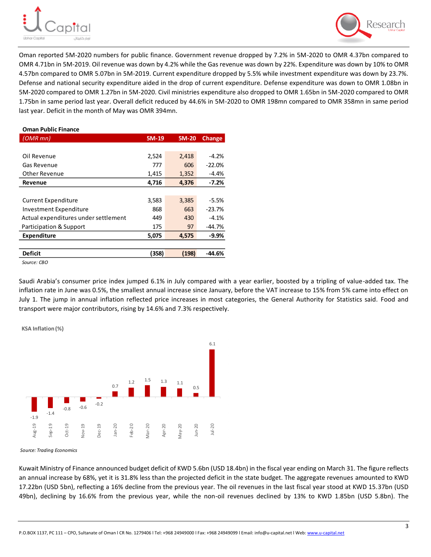



Oman reported 5M-2020 numbers for public finance. Government revenue dropped by 7.2% in 5M-2020 to OMR 4.37bn compared to OMR 4.71bn in 5M-2019. Oil revenue was down by 4.2% while the Gas revenue was down by 22%. Expenditure was down by 10% to OMR 4.57bn compared to OMR 5.07bn in 5M-2019. Current expenditure dropped by 5.5% while investment expenditure was down by 23.7%. Defense and national security expenditure aided in the drop of current expenditure. Defense expenditure was down to OMR 1.08bn in 5M-2020 compared to OMR 1.27bn in 5M-2020. Civil ministries expenditure also dropped to OMR 1.65bn in 5M-2020 compared to OMR 1.75bn in same period last year. Overall deficit reduced by 44.6% in 5M-2020 to OMR 198mn compared to OMR 358mn in same period last year. Deficit in the month of May was OMR 394mn.

#### **Oman Public Finance**

| $(OMR \, mn)$                        | 5M-19 | 5M-20 | <b>Change</b> |
|--------------------------------------|-------|-------|---------------|
|                                      |       |       |               |
| Oil Revenue                          | 2,524 | 2,418 | $-4.2%$       |
| Gas Revenue                          | 777   | 606   | $-22.0%$      |
| Other Revenue                        | 1,415 | 1,352 | $-4.4%$       |
| Revenue                              | 4,716 | 4,376 | $-7.2%$       |
|                                      |       |       |               |
| <b>Current Expenditure</b>           | 3,583 | 3,385 | $-5.5%$       |
| Investment Expenditure               | 868   | 663   | $-23.7%$      |
| Actual expenditures under settlement | 449   | 430   | $-4.1%$       |
| Participation & Support              | 175   | 97    | $-44.7%$      |
| <b>Expenditure</b>                   | 5,075 | 4,575 | $-9.9%$       |
|                                      |       |       |               |
| <b>Deficit</b>                       | (358) | (198) | -44.6%        |
|                                      |       |       |               |

*Source: CBO* 

Saudi Arabia's consumer price index jumped 6.1% in July compared with a year earlier, boosted by a tripling of value-added tax. The inflation rate in June was 0.5%, the smallest annual increase since January, before the VAT increase to 15% from 5% came into effect on July 1. The jump in annual inflation reflected price increases in most categories, the General Authority for Statistics said. Food and transport were major contributors, rising by 14.6% and 7.3% respectively.

**KSA Inflation (%)**



*Source: Trading Economics*

Kuwait Ministry of Finance announced budget deficit of KWD 5.6bn (USD 18.4bn) in the fiscal year ending on March 31. The figure reflects an annual increase by 68%, yet it is 31.8% less than the projected deficit in the state budget. The aggregate revenues amounted to KWD 17.22bn (USD 5bn), reflecting a 16% decline from the previous year. The oil revenues in the last fiscal year stood at KWD 15.37bn (USD 49bn), declining by 16.6% from the previous year, while the non-oil revenues declined by 13% to KWD 1.85bn (USD 5.8bn). The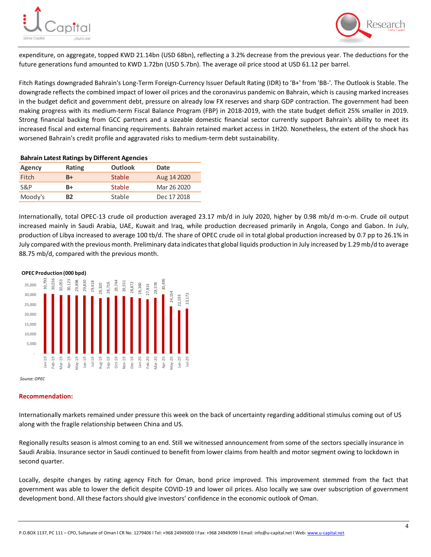



expenditure, on aggregate, topped KWD 21.14bn (USD 68bn), reflecting a 3.2% decrease from the previous year. The deductions for the future generations fund amounted to KWD 1.72bn (USD 5.7bn). The average oil price stood at USD 61.12 per barrel.

Fitch Ratings downgraded Bahrain's Long-Term Foreign-Currency Issuer Default Rating (IDR) to 'B+' from 'BB-'. The Outlook is Stable. The downgrade reflects the combined impact of lower oil prices and the coronavirus pandemic on Bahrain, which is causing marked increases in the budget deficit and government debt, pressure on already low FX reserves and sharp GDP contraction. The government had been making progress with its medium-term Fiscal Balance Program (FBP) in 2018-2019, with the state budget deficit 25% smaller in 2019. Strong financial backing from GCC partners and a sizeable domestic financial sector currently support Bahrain's ability to meet its increased fiscal and external financing requirements. Bahrain retained market access in 1H20. Nonetheless, the extent of the shock has worsened Bahrain's credit profile and aggravated risks to medium-term debt sustainability.

| Rating    | Outlook       | Date        |  |  |  |  |  |
|-----------|---------------|-------------|--|--|--|--|--|
| B+        | <b>Stable</b> | Aug 14 2020 |  |  |  |  |  |
| B+        | <b>Stable</b> | Mar 26 2020 |  |  |  |  |  |
| <b>B2</b> | Stable        | Dec 17 2018 |  |  |  |  |  |
|           |               |             |  |  |  |  |  |

**Bahrain Latest Ratings by Different Agencies**

Internationally, total OPEC-13 crude oil production averaged 23.17 mb/d in July 2020, higher by 0.98 mb/d m-o-m. Crude oil output increased mainly in Saudi Arabia, UAE, Kuwait and Iraq, while production decreased primarily in Angola, Congo and Gabon. In July, production of Libya increased to average 100 tb/d. The share of OPEC crude oil in total global production increased by 0.7 pp to 26.1% in July compared with the previous month. Preliminary data indicates that global liquids production in July increased by 1.29 mb/d to average 88.75 mb/d, compared with the previous month.



#### **Recommendation:**

Internationally markets remained under pressure this week on the back of uncertainty regarding additional stimulus coming out of US along with the fragile relationship between China and US.

Regionally results season is almost coming to an end. Still we witnessed announcement from some of the sectors specially insurance in Saudi Arabia. Insurance sector in Saudi continued to benefit from lower claims from health and motor segment owing to lockdown in second quarter.

Locally, despite changes by rating agency Fitch for Oman, bond price improved. This improvement stemmed from the fact that government was able to lower the deficit despite COVID-19 and lower oil prices. Also locally we saw over subscription of government development bond. All these factors should give investors' confidence in the economic outlook of Oman.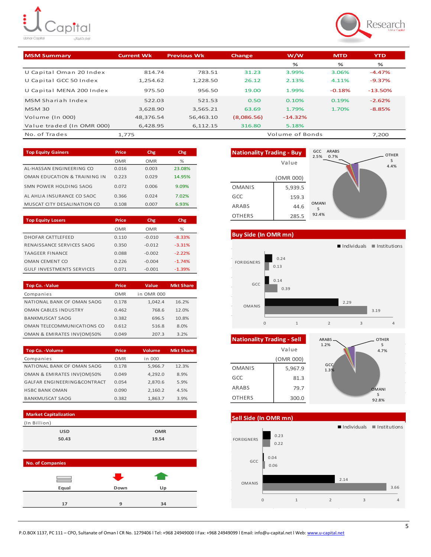# ŧ, )<br>Capital .<br>اوبار کاپیتال



| <b>MSM Summary</b>        | <b>Current Wk</b> | <b>Previous Wk</b> | Change     | w/w             | <b>MTD</b> | <b>YTD</b> |
|---------------------------|-------------------|--------------------|------------|-----------------|------------|------------|
|                           |                   |                    |            | ℅               | %          | ℅          |
| U Capital Oman 20 Index   | 814.74            | 783.51             | 31.23      | 3.99%           | 3.06%      | $-4.47%$   |
| U Capital GCC 50 Index    | 1.254.62          | 1.228.50           | 26.12      | 2.13%           | 4.11%      | $-9.37\%$  |
| U Capital MENA 200 Index  | 975.50            | 956.50             | 19.00      | 1.99%           | $-0.18%$   | $-13.50%$  |
| MSM Shariah Index         | 522.03            | 521.53             | 0.50       | 0.10%           | 0.19%      | $-2.62%$   |
| <b>MSM 30</b>             | 3.628.90          | 3.565.21           | 63.69      | 1.79%           | 1.70%      | $-8.85%$   |
| Volume (In 000)           | 48,376.54         | 56,463.10          | (8,086.56) | $-14.32%$       |            |            |
| Value traded (In OMR 000) | 6,428.95          | 6,112.15           | 316.80     | 5.18%           |            |            |
| No. of Trades             | 1.775             |                    |            | Volume of Bonds |            | 7.200      |

| <b>Top Equity Gainers</b>    | Price      | Chg   | Chg    |
|------------------------------|------------|-------|--------|
|                              | <b>OMR</b> | OMR   | %      |
| AL-HASSAN ENGINEERING CO     | 0.016      | 0.003 | 23.08% |
| OMAN EDUCATION & TRAINING IN | 0.223      | 0.029 | 14.95% |
| SMN POWER HOLDING SAOG       | 0.072      | 0.006 | 9.09%  |
| AL AHLIA INSURANCE CO SAOC   | 0.366      | 0.024 | 7.02%  |
| MUSCAT CITY DESALINATION CO  | 0.108      | 0.007 | 6.93%  |

| <b>Top Equity Losers</b>         | Price      | Chg        | Chg.     |
|----------------------------------|------------|------------|----------|
|                                  | <b>OMR</b> | <b>OMR</b> | $\%$     |
| <b>DHOFAR CATTLEFEED</b>         | 0.110      | $-0.010$   | $-8.33%$ |
| RENAISSANCE SERVICES SAOG        | 0.350      | $-0.012$   | $-3.31%$ |
| <b>TAAGEER FINANCE</b>           | 0.088      | $-0.002$   | $-2.22%$ |
| OMAN CEMENT CO                   | 0.226      | $-0.004$   | $-1.74%$ |
| <b>GULF INVESTMENTS SERVICES</b> | 0.071      | $-0.001$   | $-1.39%$ |

| <b>Top Co. - Value</b>      | Price      | Value      | <b>Mkt Share</b> |
|-----------------------------|------------|------------|------------------|
| Companies                   | <b>OMR</b> | in OMR 000 |                  |
| NATIONAL BANK OF OMAN SAOG  | 0.178      | 1.042.4    | 16.2%            |
| <b>OMAN CABLES INDUSTRY</b> | 0.462      | 768.6      | 12.0%            |
| <b>BANKMUSCAT SAOG</b>      | 0.382      | 696.5      | 10.8%            |
| OMAN TELECOMMUNICATIONS CO  | 0.612      | 516.8      | 8.0%             |
| OMAN & EMIRATES INV(OM)50%  | 0.049      | 207.3      | 3.2%             |

| <b>Top Co. - Volume</b>     | Price      | Volume  | <b>Mkt Share</b> |
|-----------------------------|------------|---------|------------------|
| Companies                   | <b>OMR</b> | in 000  |                  |
| NATIONAL BANK OF OMAN SAOG  | 0.178      | 5,966.7 | 12.3%            |
| OMAN & EMIRATES INV(OM)50%  | 0.049      | 4,292.0 | 8.9%             |
| GALFAR ENGINEERING&CONTRACT | 0.054      | 2.870.6 | 5.9%             |
| <b>HSBC BANK OMAN</b>       | 0.090      | 2,160.2 | 4.5%             |
| <b>BANKMUSCAT SAOG</b>      | 0.382      | 1,863.7 | 3.9%             |





**Buy Side (In OMR mn)**



| Nationality Trading - Sell | <b>ARABS</b> |             |
|----------------------------|--------------|-------------|
|                            | Value        | 1.2%        |
|                            | (OMR 000)    |             |
| <b>OMANIS</b>              | 5,967.9      | GCC<br>1.3% |
| GCC                        | 81.3         |             |
| ARABS                      | 79.7         |             |
| <b>OTHERS</b>              | 300.0        |             |





OMANI S 92.8%

OTHER S 4.7%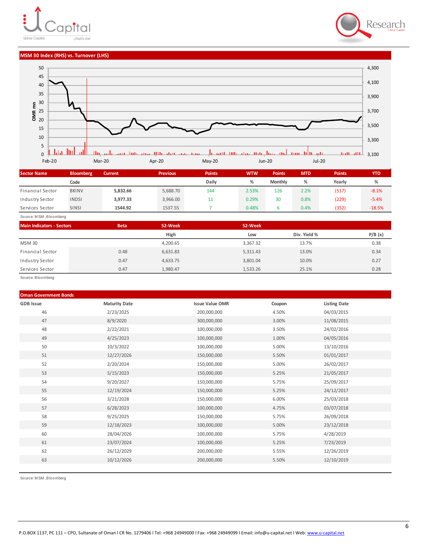



#### **MSM 30 Index (RHS) vs. Turnover (LHS)**



| <b>Sector Name</b> | <b>Bloomberg</b> | <b>Current</b> | <b>Previous</b> | <b>Points</b> | <b>WTW</b> | <b>Points</b>  | <b>MTD</b> | <b>Points</b> | YTD      |
|--------------------|------------------|----------------|-----------------|---------------|------------|----------------|------------|---------------|----------|
|                    | Code             |                |                 | Daily         | %          | <b>Monthly</b> | %          | Yearly        |          |
| Financial Sector   | <b>BKINV</b>     | 5.832.66       | 5,688.70        | 144           | 2.53%      | 126            | 2.2%       | (517)         | $-8.1%$  |
| Industry Sector    | <b>INDSI</b>     | 3,977.33       | 3,966.00        | 11            | 0.29%      | 30             | 0.8%       | (229)         | $-5.4%$  |
| Services Sector    | <b>SINSI</b>     | 1544.92        | 1537.55         |               | 0.48%      |                | 0.4%       | (352)         | $-18.5%$ |

Source: M SM , Bloomberg

| <b>Main Indicators - Sectors</b> | <b>Beta</b> | 52-Week  | 52-Week  |              |        |
|----------------------------------|-------------|----------|----------|--------------|--------|
|                                  |             | High     | Low      | Div. Yield % | P/B(x) |
| <b>MSM30</b>                     |             | 4,200.65 | 3,367.32 | 13.7%        | 0.38   |
| Financial Sector                 | 0.48        | 6,631.83 | 5,311.43 | 13.0%        | 0.34   |
| Industry Sector                  | 0.47        | 4,633.75 | 3,801.04 | 10.0%        | 0.27   |
| Services Sector                  | 0.47        | 1.980.47 | 1,533.26 | 25.1%        | 0.28   |

Source: Bloomberg

#### **Oman Government Bonds**

| <b>GDB</b> Issue | <b>Maturity Date</b> | <b>Issue Value OMR</b> | Coupon | <b>Listing Date</b> |
|------------------|----------------------|------------------------|--------|---------------------|
| 46               | 2/23/2025            | 200,000,000            | 4.50%  | 04/03/2015          |
| 47               | 8/9/2020             | 300,000,000            | 3.00%  | 11/08/2015          |
| 48               | 2/22/2021            | 100,000,000            | 3.50%  | 24/02/2016          |
| 49               | 4/25/2023            | 100,000,000            | 1.00%  | 04/05/2016          |
| 50               | 10/3/2022            | 100,000,000            | 5.00%  | 13/10/2016          |
| 51               | 12/27/2026           | 150,000,000            | 5.50%  | 01/01/2017          |
| 52               | 2/20/2024            | 150,000,000            | 5.00%  | 26/02/2017          |
| 53               | 5/15/2023            | 150,000,000            | 5.25%  | 21/05/2017          |
| 54               | 9/20/2027            | 150,000,000            | 5.75%  | 25/09/2017          |
| 55               | 12/19/2024           | 150,000,000            | 5.25%  | 24/12/2017          |
| 56               | 3/21/2028            | 150,000,000            | 6.00%  | 25/03/2018          |
| 57               | 6/28/2023            | 100,000,000            | 4.75%  | 03/07/2018          |
| 58               | 9/25/2025            | 150,000,000            | 5.75%  | 26/09/2018          |
| 59               | 12/18/2023           | 100,000,000            | 5.00%  | 23/12/2018          |
| 60               | 28/04/2026           | 100,000,000            | 5.75%  | 4/28/2019           |
| 61               | 23/07/2024           | 100,000,000            | 5.25%  | 7/23/2019           |
| 62               | 26/12/2029           | 200,000,000            | 5.55%  | 12/26/2019          |
| 63               | 10/12/2026           | 200,000,000            | 5.50%  | 12/10/2019          |
|                  |                      |                        |        |                     |

Source: M SM , Bloomberg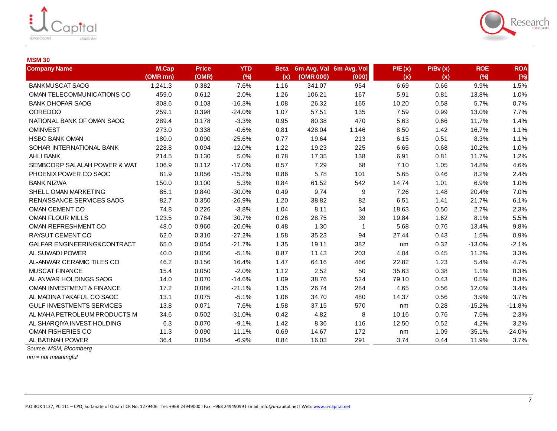



### **MSM 30**

| <b>Company Name</b>                  | <b>M.Cap</b><br>(OMR mn) | <b>Price</b><br>(OMR) | <b>YTD</b><br>(%) | <b>Beta</b><br>(x) | (OMR 000) | 6m Avg. Val 6m Avg. Vol<br>(000) | P/E(x)<br>(x) | P/Bv(x)<br>(x) | <b>ROE</b><br>(%) | <b>ROA</b><br>(%) |
|--------------------------------------|--------------------------|-----------------------|-------------------|--------------------|-----------|----------------------------------|---------------|----------------|-------------------|-------------------|
| <b>BANKMUSCAT SAOG</b>               | 1,241.3                  | 0.382                 | $-7.6%$           | 1.16               | 341.07    | 954                              | 6.69          | 0.66           | 9.9%              | 1.5%              |
| OMAN TELECOMMUNICATIONS CO           | 459.0                    | 0.612                 | 2.0%              | 1.26               | 106.21    | 167                              | 5.91          | 0.81           | 13.8%             | 1.0%              |
| <b>BANK DHOFAR SAOG</b>              | 308.6                    | 0.103                 | $-16.3%$          | 1.08               | 26.32     | 165                              | 10.20         | 0.58           | 5.7%              | 0.7%              |
| <b>OOREDOO</b>                       | 259.1                    | 0.398                 | $-24.0%$          | 1.07               | 57.51     | 135                              | 7.59          | 0.99           | 13.0%             | 7.7%              |
| NATIONAL BANK OF OMAN SAOG           | 289.4                    | 0.178                 | $-3.3%$           | 0.95               | 80.38     | 470                              | 5.63          | 0.66           | 11.7%             | 1.4%              |
| <b>OMINVEST</b>                      | 273.0                    | 0.338                 | $-0.6%$           | 0.81               | 428.04    | 1,146                            | 8.50          | 1.42           | 16.7%             | 1.1%              |
| <b>HSBC BANK OMAN</b>                | 180.0                    | 0.090                 | $-25.6%$          | 0.77               | 19.64     | 213                              | 6.15          | 0.51           | 8.3%              | 1.1%              |
| SOHAR INTERNATIONAL BANK             | 228.8                    | 0.094                 | $-12.0%$          | 1.22               | 19.23     | 225                              | 6.65          | 0.68           | 10.2%             | 1.0%              |
| AHLI BANK                            | 214.5                    | 0.130                 | 5.0%              | 0.78               | 17.35     | 138                              | 6.91          | 0.81           | 11.7%             | 1.2%              |
| SEMBCORP SALALAH POWER & WAT         | 106.9                    | 0.112                 | $-17.0%$          | 0.57               | 7.29      | 68                               | 7.10          | 1.05           | 14.8%             | 4.6%              |
| PHOENIX POWER CO SAOC                | 81.9                     | 0.056                 | $-15.2%$          | 0.86               | 5.78      | 101                              | 5.65          | 0.46           | 8.2%              | 2.4%              |
| <b>BANK NIZWA</b>                    | 150.0                    | 0.100                 | 5.3%              | 0.84               | 61.52     | 542                              | 14.74         | 1.01           | 6.9%              | 1.0%              |
| SHELL OMAN MARKETING                 | 85.1                     | 0.840                 | $-30.0%$          | 0.49               | 9.74      | 9                                | 7.26          | 1.48           | 20.4%             | 7.0%              |
| RENAISSANCE SERVICES SAOG            | 82.7                     | 0.350                 | $-26.9%$          | 1.20               | 38.82     | 82                               | 6.51          | 1.41           | 21.7%             | 6.1%              |
| OMAN CEMENT CO                       | 74.8                     | 0.226                 | $-3.8%$           | 1.04               | 8.11      | 34                               | 18.63         | 0.50           | 2.7%              | 2.3%              |
| <b>OMAN FLOUR MILLS</b>              | 123.5                    | 0.784                 | 30.7%             | 0.26               | 28.75     | 39                               | 19.84         | 1.62           | 8.1%              | 5.5%              |
| OMAN REFRESHMENT CO                  | 48.0                     | 0.960                 | $-20.0%$          | 0.48               | 1.30      | $\mathbf{1}$                     | 5.68          | 0.76           | 13.4%             | 9.8%              |
| RAYSUT CEMENT CO                     | 62.0                     | 0.310                 | $-27.2%$          | 1.58               | 35.23     | 94                               | 27.44         | 0.43           | 1.5%              | 0.9%              |
| GALFAR ENGINEERING&CONTRACT          | 65.0                     | 0.054                 | $-21.7%$          | 1.35               | 19.11     | 382                              | nm            | 0.32           | $-13.0%$          | $-2.1%$           |
| AL SUWADI POWER                      | 40.0                     | 0.056                 | $-5.1%$           | 0.87               | 11.43     | 203                              | 4.04          | 0.45           | 11.2%             | 3.3%              |
| AL-ANWAR CERAMIC TILES CO            | 46.2                     | 0.156                 | 16.4%             | 1.47               | 64.16     | 466                              | 22.82         | 1.23           | 5.4%              | 4.7%              |
| <b>MUSCAT FINANCE</b>                | 15.4                     | 0.050                 | $-2.0%$           | 1.12               | 2.52      | 50                               | 35.63         | 0.38           | 1.1%              | 0.3%              |
| AL ANWAR HOLDINGS SAOG               | 14.0                     | 0.070                 | $-14.6%$          | 1.09               | 38.76     | 524                              | 79.10         | 0.43           | 0.5%              | 0.3%              |
| <b>OMAN INVESTMENT &amp; FINANCE</b> | 17.2                     | 0.086                 | $-21.1%$          | 1.35               | 26.74     | 284                              | 4.65          | 0.56           | 12.0%             | 3.4%              |
| AL MADINA TAKAFUL CO SAOC            | 13.1                     | 0.075                 | $-5.1%$           | 1.06               | 34.70     | 480                              | 14.37         | 0.56           | 3.9%              | 3.7%              |
| <b>GULF INVESTMENTS SERVICES</b>     | 13.8                     | 0.071                 | 7.6%              | 1.58               | 37.15     | 570                              | nm            | 0.28           | $-15.2%$          | $-11.8%$          |
| AL MAHA PETROLEUM PRODUCTS M         | 34.6                     | 0.502                 | $-31.0%$          | 0.42               | 4.82      | 8                                | 10.16         | 0.76           | 7.5%              | 2.3%              |
| AL SHARQIYA INVEST HOLDING           | 6.3                      | 0.070                 | $-9.1%$           | 1.42               | 8.36      | 116                              | 12.50         | 0.52           | 4.2%              | 3.2%              |
| OMAN FISHERIES CO                    | 11.3                     | 0.090                 | 11.1%             | 0.69               | 14.67     | 172                              | nm            | 1.09           | $-35.1%$          | $-24.0%$          |
| AL BATINAH POWER                     | 36.4                     | 0.054                 | $-6.9%$           | 0.84               | 16.03     | 291                              | 3.74          | 0.44           | 11.9%             | 3.7%              |

*Source: MSM, Bloomberg*

*nm = not meaningful*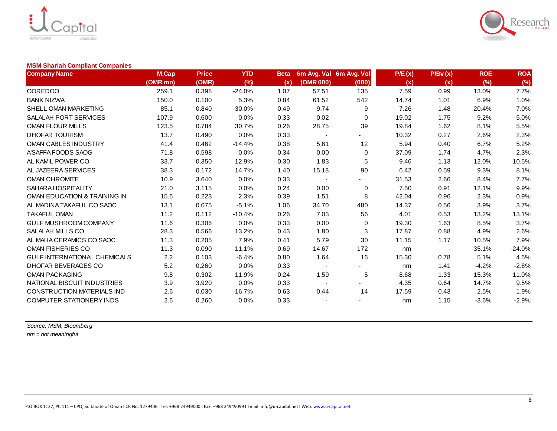



## **MSM Shariah Compliant Companies**

| <b>Company Name</b>                 | M.Cap    | <b>Price</b> | <b>YTD</b> | <b>Beta</b> |                          | 6m Avg. Val 6m Avg. Vol | P/E(x) | P/Bv(x) | <b>ROE</b> | <b>ROA</b> |
|-------------------------------------|----------|--------------|------------|-------------|--------------------------|-------------------------|--------|---------|------------|------------|
|                                     | (OMR mn) | (OMR)        | (%)        | (x)         | (OMR 000)                | (000)                   | (x)    | (x)     | (%)        | (%)        |
| <b>OOREDOO</b>                      | 259.1    | 0.398        | $-24.0%$   | 1.07        | 57.51                    | 135                     | 7.59   | 0.99    | 13.0%      | 7.7%       |
| <b>BANK NIZWA</b>                   | 150.0    | 0.100        | 5.3%       | 0.84        | 61.52                    | 542                     | 14.74  | 1.01    | 6.9%       | 1.0%       |
| SHELL OMAN MARKETING                | 85.1     | 0.840        | $-30.0%$   | 0.49        | 9.74                     | 9                       | 7.26   | 1.48    | 20.4%      | 7.0%       |
| SALALAH PORT SERVICES               | 107.9    | 0.600        | 0.0%       | 0.33        | 0.02                     | $\mathbf 0$             | 19.02  | 1.75    | 9.2%       | 5.0%       |
| OMAN FLOUR MILLS                    | 123.5    | 0.784        | 30.7%      | 0.26        | 28.75                    | 39                      | 19.84  | 1.62    | 8.1%       | 5.5%       |
| <b>DHOFAR TOURISM</b>               | 13.7     | 0.490        | 0.0%       | 0.33        | $\overline{\phantom{a}}$ |                         | 10.32  | 0.27    | 2.6%       | 2.3%       |
| OMAN CABLES INDUSTRY                | 41.4     | 0.462        | $-14.4%$   | 0.38        | 5.61                     | 12                      | 5.94   | 0.40    | 6.7%       | 5.2%       |
| A'SAFFA FOODS SAOG                  | 71.8     | 0.598        | 0.0%       | 0.34        | 0.00                     | 0                       | 37.09  | 1.74    | 4.7%       | 2.3%       |
| AL KAMIL POWER CO                   | 33.7     | 0.350        | 12.9%      | 0.30        | 1.83                     | 5                       | 9.46   | 1.13    | 12.0%      | 10.5%      |
| AL JAZEERA SERVICES                 | 38.3     | 0.172        | 14.7%      | 1.40        | 15.18                    | 90                      | 6.42   | 0.59    | 9.3%       | 8.1%       |
| <b>OMAN CHROMITE</b>                | 10.9     | 3.640        | 0.0%       | 0.33        |                          |                         | 31.53  | 2.66    | 8.4%       | 7.7%       |
| SAHARA HOSPITALITY                  | 21.0     | 3.115        | 0.0%       | 0.24        | 0.00                     | 0                       | 7.50   | 0.91    | 12.1%      | 9.9%       |
| OMAN EDUCATION & TRAINING IN        | 15.6     | 0.223        | 2.3%       | 0.39        | 1.51                     | 8                       | 42.04  | 0.96    | 2.3%       | 0.9%       |
| AL MADINA TAKAFUL CO SAOC           | 13.1     | 0.075        | $-5.1%$    | 1.06        | 34.70                    | 480                     | 14.37  | 0.56    | 3.9%       | 3.7%       |
| <b>TAKAFUL OMAN</b>                 | 11.2     | 0.112        | $-10.4%$   | 0.26        | 7.03                     | 56                      | 4.01   | 0.53    | 13.2%      | 13.1%      |
| GULF MUSHROOM COMPANY               | 11.6     | 0.306        | 0.0%       | 0.33        | 0.00                     | 0                       | 19.30  | 1.63    | 8.5%       | 3.7%       |
| SALALAH MILLS CO                    | 28.3     | 0.566        | 13.2%      | 0.43        | 1.80                     | 3                       | 17.87  | 0.88    | 4.9%       | 2.6%       |
| AL MAHA CERAMICS CO SAOC            | 11.3     | 0.205        | 7.9%       | 0.41        | 5.79                     | 30                      | 11.15  | 1.17    | 10.5%      | 7.9%       |
| OMAN FISHERIES CO                   | 11.3     | 0.090        | 11.1%      | 0.69        | 14.67                    | 172                     | nm     |         | $-35.1%$   | $-24.0%$   |
| <b>GULF INTERNATIONAL CHEMICALS</b> | 2.2      | 0.103        | $-6.4%$    | 0.80        | 1.64                     | 16                      | 15.30  | 0.78    | 5.1%       | 4.5%       |
| DHOFAR BEVERAGES CO                 | 5.2      | 0.260        | 0.0%       | 0.33        | $\overline{\phantom{a}}$ |                         | nm     | 1.41    | $-4.2%$    | $-2.8%$    |
| <b>OMAN PACKAGING</b>               | 9.8      | 0.302        | 11.9%      | 0.24        | 1.59                     | 5                       | 8.68   | 1.33    | 15.3%      | 11.0%      |
| NATIONAL BISCUIT INDUSTRIES         | 3.9      | 3.920        | 0.0%       | 0.33        | $\sim$                   |                         | 4.35   | 0.64    | 14.7%      | 9.5%       |
| CONSTRUCTION MATERIALS IND          | 2.6      | 0.030        | $-16.7%$   | 0.63        | 0.44                     | 14                      | 17.59  | 0.43    | 2.5%       | 1.9%       |
| <b>COMPUTER STATIONERY INDS</b>     | 2.6      | 0.260        | 0.0%       | 0.33        |                          |                         | nm     | 1.15    | $-3.6%$    | $-2.9%$    |

*Source: MSM, Bloomberg nm = not meaningful*